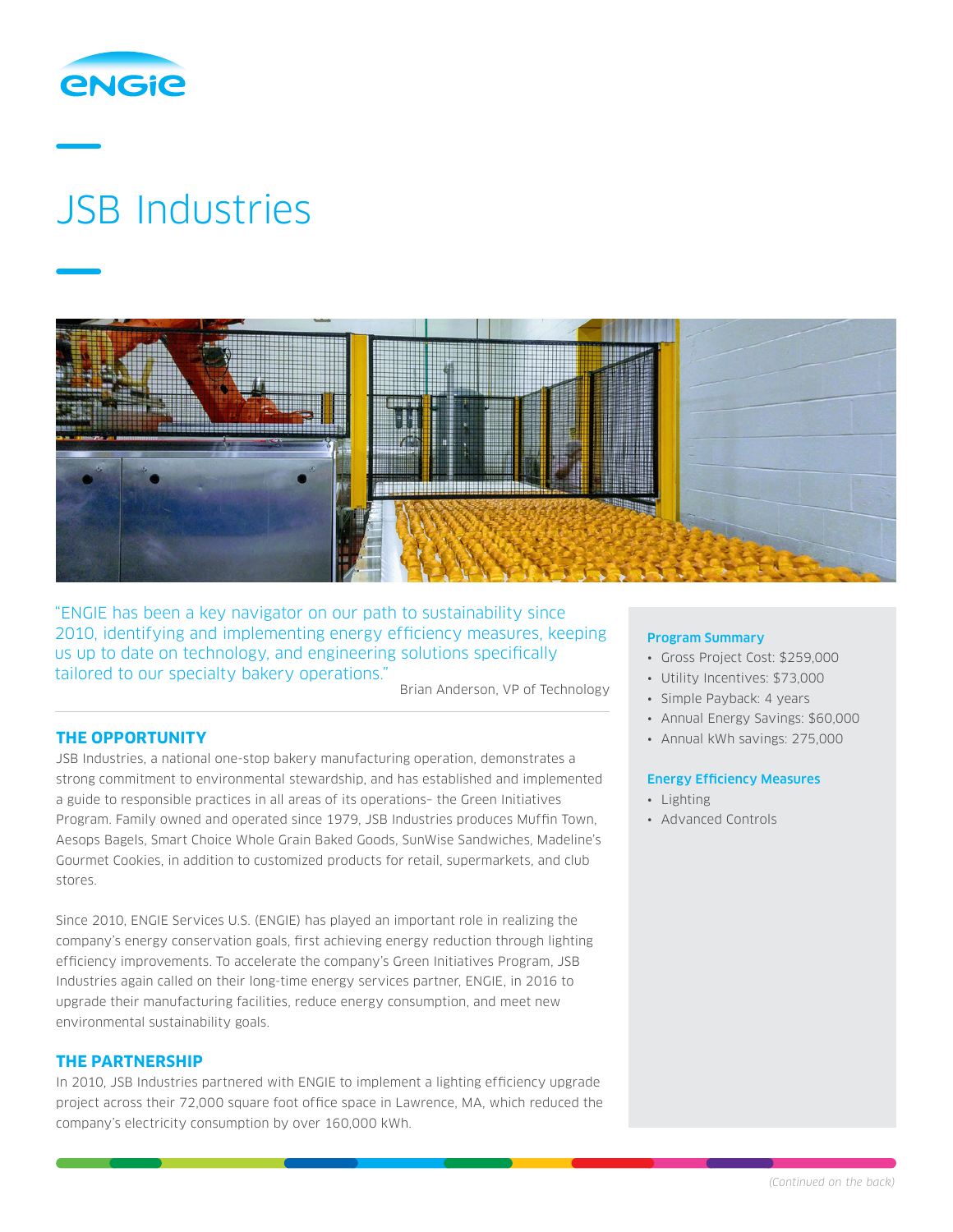

# JSB Industries



"ENGIE has been a key navigator on our path to sustainability since 2010, identifying and implementing energy efficiency measures, keeping us up to date on technology, and engineering solutions specifically tailored to our specialty bakery operations.

Brian Anderson, VP of Technology

# **THE OPPORTUNITY**

JSB Industries, a national one-stop bakery manufacturing operation, demonstrates a strong commitment to environmental stewardship, and has established and implemented a guide to responsible practices in all areas of its operations– the Green Initiatives Program. Family owned and operated since 1979, JSB Industries produces Muffin Town, Aesops Bagels, Smart Choice Whole Grain Baked Goods, SunWise Sandwiches, Madeline's Gourmet Cookies, in addition to customized products for retail, supermarkets, and club stores.

Since 2010, ENGIE Services U.S. (ENGIE) has played an important role in realizing the company's energy conservation goals, first achieving energy reduction through lighting efficiency improvements. To accelerate the company's Green Initiatives Program, JSB Industries again called on their long-time energy services partner, ENGIE, in 2016 to upgrade their manufacturing facilities, reduce energy consumption, and meet new environmental sustainability goals.

# **THE PARTNERSHIP**

In 2010, JSB Industries partnered with ENGIE to implement a lighting efficiency upgrade project across their 72,000 square foot office space in Lawrence, MA, which reduced the company's electricity consumption by over 160,000 kWh.

#### Program Summary

- Gross Project Cost: \$259,000
- Utility Incentives: \$73,000
- Simple Payback: 4 years
- Annual Energy Savings: \$60,000
- Annual kWh savings: 275,000

#### Energy Efficiency Measures

- Lighting
- Advanced Controls